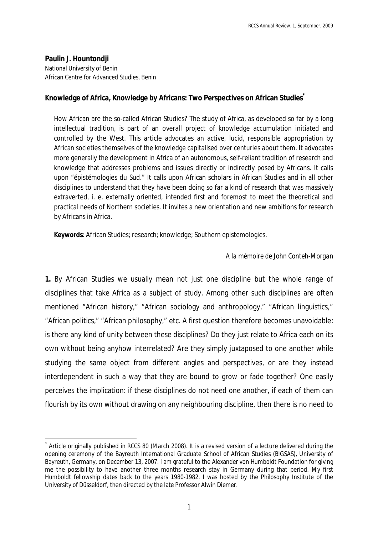**Paulin J. Hountondji** National University of Benin African Centre for Advanced Studies, Benin

## **Knowledge of Africa, Knowledge by Africans: Two Perspectives on African Studies\***

How African are the so-called African Studies? The study of Africa, as developed so far by a long intellectual tradition, is part of an overall project of knowledge accumulation initiated and controlled by the West. This article advocates an active, lucid, responsible appropriation by African societies themselves of the knowledge capitalised over centuries about them. It advocates more generally the development in Africa of an autonomous, self-reliant tradition of research and knowledge that addresses problems and issues directly or indirectly posed by Africans. It calls upon "épistémologies du Sud." It calls upon African scholars in African Studies and in all other disciplines to understand that they have been doing so far a kind of research that was massively extraverted, i. e. externally oriented, intended first and foremost to meet the theoretical and practical needs of Northern societies. It invites a new orientation and new ambitions for research by Africans in Africa.

**Keywords**: African Studies; research; knowledge; Southern epistemologies.

## *A la mémoire de John Conteh-Morgan*

**1.** By African Studies we usually mean not just one discipline but the whole range of disciplines that take Africa as a subject of study. Among other such disciplines are often mentioned "African history," "African sociology and anthropology," "African linguistics," "African politics," "African philosophy," etc. A first question therefore becomes unavoidable: is there any kind of unity between these disciplines? Do they just relate to Africa each on its own without being anyhow interrelated? Are they simply juxtaposed to one another while studying the same object from different angles and perspectives, or are they instead interdependent in such a way that they are bound to grow or fade together? One easily perceives the implication: if these disciplines do not need one another, if each of them can flourish by its own without drawing on any neighbouring discipline, then there is no need to

 $\overline{a}$ \* Article originally published in *RCCS* 80 (March 2008). It is a revised version of a lecture delivered during the opening ceremony of the Bayreuth International Graduate School of African Studies (BIGSAS), University of Bayreuth, Germany, on December 13, 2007. I am grateful to the Alexander von Humboldt Foundation for giving me the possibility to have another three months research stay in Germany during that period. My first Humboldt fellowship dates back to the years 1980-1982. I was hosted by the Philosophy Institute of the University of Düsseldorf, then directed by the late Professor Alwin Diemer.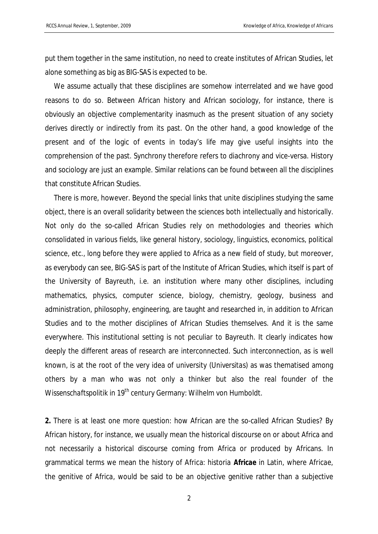put them together in the same institution, no need to create institutes of African Studies, let alone something as big as BIG-SAS is expected to be.

We assume actually that these disciplines are somehow interrelated and we have good reasons to do so. Between African history and African sociology, for instance, there is obviously an objective complementarity inasmuch as the present situation of any society derives directly or indirectly from its past. On the other hand, a good knowledge of the present and of the logic of events in today's life may give useful insights into the comprehension of the past. Synchrony therefore refers to diachrony and vice-versa. History and sociology are just an example. Similar relations can be found between all the disciplines that constitute African Studies.

There is more, however. Beyond the special links that unite disciplines studying the same object, there is an overall solidarity between the sciences both intellectually and historically. Not only do the so-called African Studies rely on methodologies and theories which consolidated in various fields, like general history, sociology, linguistics, economics, political science, etc., long before they were applied to Africa as a new field of study, but moreover, as everybody can see, BIG-SAS is part of the Institute of African Studies, which itself is part of the University of Bayreuth, i.e. an institution where many other disciplines, including mathematics, physics, computer science, biology, chemistry, geology, business and administration, philosophy, engineering, are taught and researched in, in addition to African Studies and to the mother disciplines of African Studies themselves. And it is the same everywhere. This institutional setting is not peculiar to Bayreuth. It clearly indicates how deeply the different areas of research are interconnected. Such interconnection, as is well known, is at the root of the very idea of university (*Universitas*) as was thematised among others by a man who was not only a thinker but also the real founder of the *Wissenschaftspolitik* in 19<sup>th</sup> century Germany: Wilhelm von Humboldt.

**2.** There is at least one more question: how African are the so-called African Studies? By African history, for instance, we usually mean the historical discourse *on* or *about* Africa and not necessarily a historical discourse coming from Africa or produced by Africans. In grammatical terms we mean the history *of* Africa: *historia Africae* in Latin, where *Africae*, the genitive of *Africa*, would be said to be an objective genitive rather than a subjective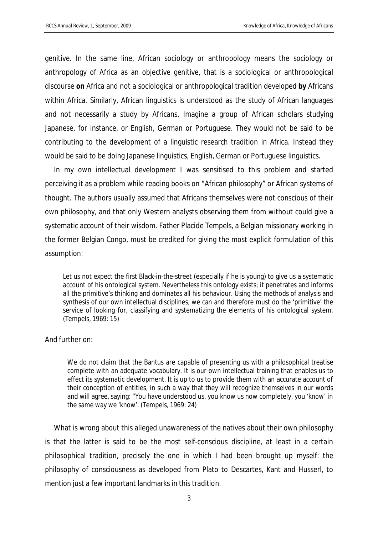genitive. In the same line, African sociology or anthropology means the sociology or anthropology *of* Africa as an objective genitive, that is a sociological or anthropological discourse **on** Africa and not a sociological or anthropological tradition developed **by** Africans within Africa. Similarly, African linguistics is understood as the study of African languages and not necessarily a study by Africans. Imagine a group of African scholars studying Japanese, for instance, or English, German or Portuguese. They would not be said to be contributing to the development of a linguistic research tradition in Africa. Instead they would be said to be doing Japanese linguistics, English, German or Portuguese linguistics.

In my own intellectual development I was sensitised to this problem and started perceiving it as a problem while reading books on "African philosophy" or African systems of thought. The authors usually assumed that Africans themselves were not conscious of their own philosophy, and that only Western analysts observing them from without could give a systematic account of their wisdom. Father Placide Tempels, a Belgian missionary working in the former Belgian Congo, must be credited for giving the most explicit formulation of this assumption:

Let us not expect the first Black-in-the-street (especially if he is young) to give us a systematic account of his ontological system. Nevertheless this ontology exists; it penetrates and informs all the primitive's thinking and dominates all his behaviour. Using the methods of analysis and synthesis of our own intellectual disciplines, we can and therefore must do the 'primitive' the service of looking for, classifying and systematizing the elements of his ontological system. (Tempels, 1969: 15)

## And further on:

We do not claim that the Bantus are capable of presenting us with a philosophical treatise complete with an adequate vocabulary. It is our own intellectual training that enables us to effect its systematic development. It is up to us to provide them with an accurate account of their conception of entities, in such a way that they will recognize themselves in our words and will agree, saying: "You have understood us, you know us now completely, you 'know' in the same way we 'know'. (Tempels, 1969: 24)

What is wrong about this alleged unawareness of the natives about their own philosophy is that the latter is said to be the most self-conscious discipline, at least in a certain philosophical tradition, precisely the one in which I had been brought up myself: the philosophy of consciousness as developed from Plato to Descartes, Kant and Husserl, to mention just a few important landmarks in this tradition.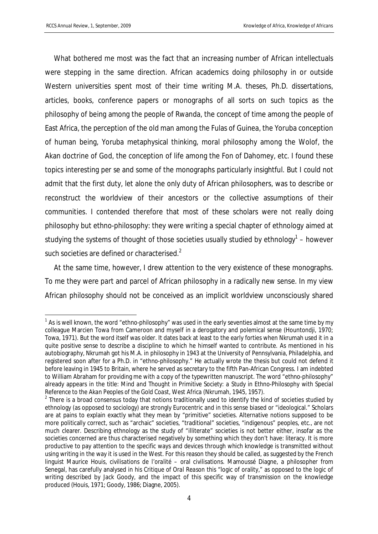$\overline{a}$ 

What bothered me most was the fact that an increasing number of African intellectuals were stepping in the same direction. African academics doing philosophy in or outside Western universities spent most of their time writing M.A. theses, Ph.D. dissertations, articles, books, conference papers or monographs of all sorts on such topics as the philosophy of being among the people of Rwanda, the concept of time among the people of East Africa, the perception of the old man among the Fulas of Guinea, the Yoruba conception of human being, Yoruba metaphysical thinking, moral philosophy among the Wolof, the Akan doctrine of God, the conception of life among the Fon of Dahomey, etc. I found these topics interesting *per se* and some of the monographs particularly insightful. But I could not admit that the first duty, let alone the only duty of African philosophers, was to describe or reconstruct the worldview of their ancestors or the collective assumptions of their communities. I contended therefore that most of these scholars were not really doing philosophy but ethno-philosophy: they were writing a special chapter of ethnology aimed at studying the systems of thought of those societies usually studied by ethnology $^1$  – however such societies are defined or characterised. $2$ 

At the same time, however, I drew attention to the very existence of these monographs. To me they were part and parcel of African philosophy in a radically new sense. In my view African philosophy should not be conceived as an implicit worldview unconsciously shared

 $^{\text{1}}$  As is well known, the word "ethno-philosophy" was used in the early seventies almost at the same time by my colleague Marcien Towa from Cameroon and myself in a derogatory and polemical sense (Hountondji, 1970; Towa, 1971). But the word itself was older. It dates back at least to the early forties when Nkrumah used it in a quite positive sense to describe a discipline to which he himself wanted to contribute. As mentioned in his autobiography, Nkrumah got his M.A. in philosophy in 1943 at the University of Pennsylvania, Philadelphia, and registered soon after for a Ph.D. in "ethno-philosophy." He actually wrote the thesis but could not defend it before leaving in 1945 to Britain, where he served as secretary to the fifth Pan-African Congress. I am indebted to William Abraham for providing me with a copy of the typewritten manuscript. The word "ethno-philosophy" already appears in the title: *Mind and Thought in Primitive Society: a Study in Ethno-Philosophy with Special Reference to the Akan Peoples of the Gold Coast, West Africa* (Nkrumah, 1945, 1957).

 $2$  There is a broad consensus today that notions traditionally used to identify the kind of societies studied by ethnology (as opposed to sociology) are strongly Eurocentric and in this sense biased or "ideological." Scholars are at pains to explain exactly what they mean by "primitive" societies. Alternative notions supposed to be more politically correct, such as "archaic" societies, "traditional" societies, "indigenous" peoples, etc., are not much clearer. Describing ethnology as the study of "illiterate" societies is not better either, insofar as the societies concerned are thus characterised negatively by something which they *don't* have: literacy. It is more productive to pay attention to the specific ways and devices through which knowledge is transmitted without using writing in the way it is used in the West. For this reason they should be called, as suggested by the French linguist Maurice Houis, *civilisations de l'oralité* – oral civilisations. Mamoussé Diagne, a philosopher from Senegal, has carefully analysed in his *Critique of Oral Reason* this "logic of orality," as opposed to the logic of writing described by Jack Goody, and the impact of this specific way of transmission on the knowledge produced (Houis, 1971; Goody, 1986; Diagne, 2005).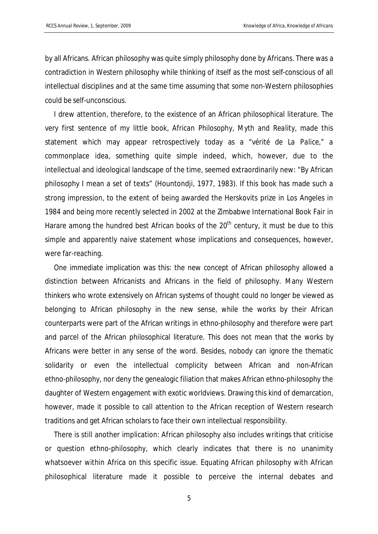by all Africans. African philosophy was quite simply philosophy done by Africans. There was a contradiction in Western philosophy while thinking of itself as the most self-conscious of all intellectual disciplines and at the same time assuming that some non-Western philosophies could be self-unconscious.

I drew attention, therefore, to the existence of an African philosophical literature. The very first sentence of my little book, *African Philosophy, Myth and Reality*, made this statement which may appear retrospectively today as a "*vérité de La Palice,*" a commonplace idea, something quite simple indeed, which, however, due to the intellectual and ideological landscape of the time, seemed extraordinarily new: "By African philosophy I mean a set of texts" (Hountondji, 1977, 1983). If this book has made such a strong impression, to the extent of being awarded the Herskovits prize in Los Angeles in 1984 and being more recently selected in 2002 at the Zimbabwe International Book Fair in Harare among the hundred best African books of the  $20<sup>th</sup>$  century, it must be due to this simple and apparently naive statement whose implications and consequences, however, were far-reaching.

One immediate implication was this: the new concept of African philosophy allowed a distinction between Africanists and Africans in the field of philosophy. Many Western thinkers who wrote extensively on African systems of thought could no longer be viewed as belonging to African philosophy in the new sense, while the works by their African counterparts were part of the African writings in ethno-philosophy and therefore were part and parcel of the African philosophical literature. This does not mean that the works by Africans were better in any sense of the word. Besides, nobody can ignore the thematic solidarity or even the intellectual complicity between African and non-African ethno-philosophy, nor deny the genealogic filiation that makes African ethno-philosophy the daughter of Western engagement with exotic worldviews. Drawing this kind of demarcation, however, made it possible to call attention to the African reception of Western research traditions and get African scholars to face their own intellectual responsibility.

There is still another implication: African philosophy also includes writings that criticise or question ethno-philosophy, which clearly indicates that there is no unanimity whatsoever within Africa on this specific issue. Equating African philosophy with African philosophical literature made it possible to perceive the internal debates and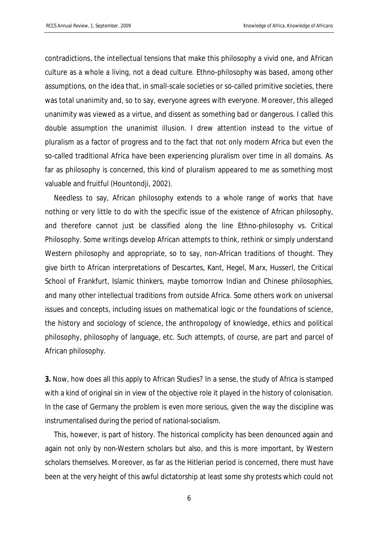contradictions, the intellectual tensions that make this philosophy a vivid one, and African culture as a whole a living, not a dead culture. Ethno-philosophy was based, among other assumptions, on the idea that, in small-scale societies or so-called primitive societies, there was total unanimity and, so to say, everyone agrees with everyone. Moreover, this alleged unanimity was viewed as a virtue, and dissent as something bad or dangerous. I called this double assumption the unanimist illusion. I drew attention instead to the virtue of pluralism as a factor of progress and to the fact that not only modern Africa but even the so-called traditional Africa have been experiencing pluralism over time in all domains. As far as philosophy is concerned, this kind of pluralism appeared to me as something most valuable and fruitful (Hountondji, 2002).

Needless to say, African philosophy extends to a whole range of works that have nothing or very little to do with the specific issue of the existence of African philosophy, and therefore cannot just be classified along the line Ethno-philosophy vs. Critical Philosophy. Some writings develop African attempts to think, rethink or simply understand Western philosophy and appropriate, so to say, non-African traditions of thought. They give birth to African interpretations of Descartes, Kant, Hegel, Marx, Husserl, the Critical School of Frankfurt, Islamic thinkers, maybe tomorrow Indian and Chinese philosophies, and many other intellectual traditions from outside Africa. Some others work on universal issues and concepts, including issues on mathematical logic or the foundations of science, the history and sociology of science, the anthropology of knowledge, ethics and political philosophy, philosophy of language, etc. Such attempts, of course, are part and parcel of African philosophy.

**3.** Now, how does all this apply to African Studies? In a sense, the study of Africa is stamped with a kind of original sin in view of the objective role it played in the history of colonisation. In the case of Germany the problem is even more serious, given the way the discipline was instrumentalised during the period of national-socialism.

This, however, is part of history. The historical complicity has been denounced again and again not only by non-Western scholars but also, and this is more important, by Western scholars themselves. Moreover, as far as the Hitlerian period is concerned, there must have been at the very height of this awful dictatorship at least some shy protests which could not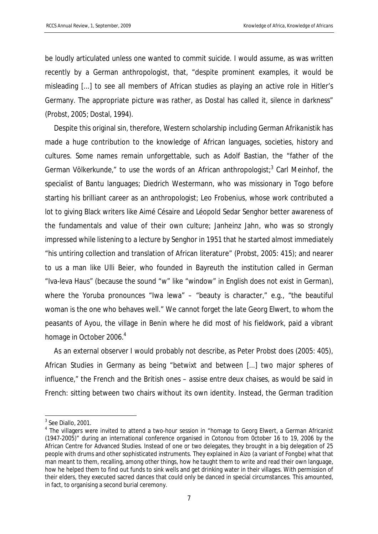be loudly articulated unless one wanted to commit suicide. I would assume, as was written recently by a German anthropologist, that, "despite prominent examples, it would be misleading [...] to see all members of African studies as playing an active role in Hitler's Germany. The appropriate picture was rather, as Dostal has called it, *silence in darkness*" (Probst, 2005; Dostal, 1994).

Despite this original sin, therefore, Western scholarship including German *Afrikanistik* has made a huge contribution to the knowledge of African languages, societies, history and cultures. Some names remain unforgettable, such as Adolf Bastian, the "father of the German Völkerkunde," to use the words of an African anthropologist;<sup>3</sup> Carl Meinhof, the specialist of Bantu languages; Diedrich Westermann, who was missionary in Togo before starting his brilliant career as an anthropologist; Leo Frobenius, whose work contributed a lot to giving Black writers like Aimé Césaire and Léopold Sedar Senghor better awareness of the fundamentals and value of their own culture; Janheinz Jahn, who was so strongly impressed while listening to a lecture by Senghor in 1951 that he started almost immediately "his untiring collection and translation of African literature" (Probst, 2005: 415); and nearer to us a man like Ulli Beier, who founded in Bayreuth the institution called in German "Iva-leva Haus" (because the sound "w" like "window" in English does not exist in German), where the Yoruba pronounces "Iwa lewa" – "beauty is character," e.g., "the beautiful woman is the one who behaves well." We cannot forget the late Georg Elwert, to whom the peasants of Ayou, the village in Benin where he did most of his fieldwork, paid a vibrant homage in October 2006.<sup>4</sup>

As an external observer I would probably not describe, as Peter Probst does (2005: 405), African Studies in Germany as being "betwixt and between [...] two major spheres of influence," the French and the British ones – *assise entre deux chaises,* as would be said in French: sitting between two chairs without its own identity. Instead, the German tradition

 3 See Diallo, 2001.

<sup>&</sup>lt;sup>4</sup> The villagers were invited to attend a two-hour session in "homage to Georg Elwert, a German Africanist (1947-2005)" during an international conference organised in Cotonou from 0ctober 16 to 19, 2006 by the African Centre for Advanced Studies. Instead of one or two delegates, they brought in a big delegation of 25 people with drums and other sophisticated instruments. They explained in *Aizo* (a variant of *Fongbe*) what that man meant to them, recalling, among other things, how he taught them to write and read their own language, how he helped them to find out funds to sink wells and get drinking water in their villages. With permission of their elders, they executed sacred dances that could only be danced in special circumstances. This amounted, in fact, to organising a second burial ceremony.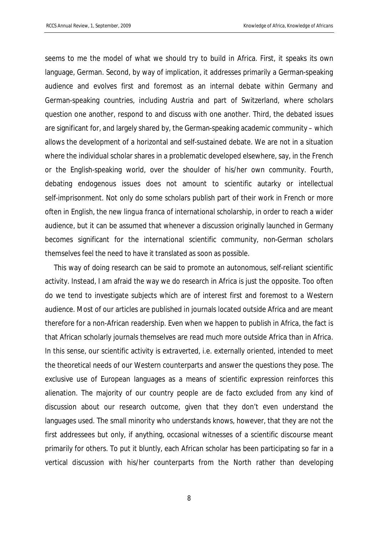seems to me the model of what we should try to build in Africa. First, it speaks its own language, German. Second, by way of implication, it addresses primarily a German-speaking audience and evolves first and foremost as an internal debate within Germany and German-speaking countries, including Austria and part of Switzerland, where scholars question one another, respond to and discuss with one another. Third, the debated issues are significant for, and largely shared by, the German-speaking academic community – which allows the development of a horizontal and self-sustained debate. We are not in a situation where the individual scholar shares in a problematic developed elsewhere, say, in the French or the English-speaking world, over the shoulder of his/her own community. Fourth, debating endogenous issues does not amount to scientific autarky or intellectual self-imprisonment. Not only do some scholars publish part of their work in French or more often in English, the new *lingua franca* of international scholarship, in order to reach a wider audience, but it can be assumed that whenever a discussion originally launched in Germany becomes significant for the international scientific community, non-German scholars themselves feel the need to have it translated as soon as possible.

This way of doing research can be said to promote an autonomous, self-reliant scientific activity. Instead, I am afraid the way we do research in Africa is just the opposite. Too often do we tend to investigate subjects which are of interest first and foremost to a Western audience. Most of our articles are published in journals located outside Africa and are meant therefore for a non-African readership. Even when we happen to publish in Africa, the fact is that African scholarly journals themselves are read much more outside Africa than in Africa. In this sense, our scientific activity is *extraverted*, i.e. externally oriented, intended to meet the theoretical needs of our Western counterparts and answer the questions they pose. The exclusive use of European languages as a means of scientific expression reinforces this alienation. The majority of our country people are *de facto* excluded from any kind of discussion about our research outcome, given that they don't even understand the languages used. The small minority who understands knows, however, that they are not the first addressees but only, if anything, occasional witnesses of a scientific discourse meant primarily for others. To put it bluntly, each African scholar has been participating so far in a vertical discussion with his/her counterparts from the North rather than developing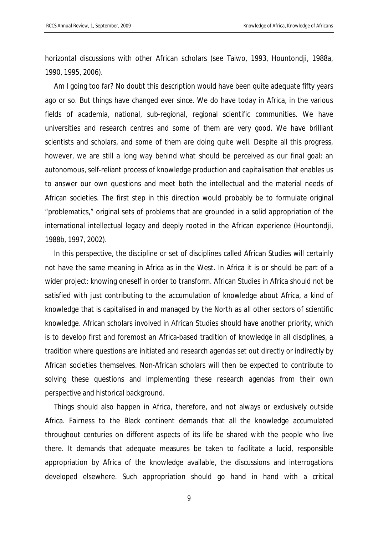horizontal discussions with other African scholars (see Taiwo, 1993, Hountondji, 1988a, 1990, 1995, 2006).

Am I going too far? No doubt this description would have been quite adequate fifty years ago or so. But things have changed ever since. We do have today in Africa, in the various fields of academia, national, sub-regional, regional scientific communities. We have universities and research centres and some of them are very good. We have brilliant scientists and scholars, and some of them are doing quite well. Despite all this progress, however, we are still a long way behind what should be perceived as our final goal: an autonomous, self-reliant process of knowledge production and capitalisation that enables us to answer our own questions and meet both the intellectual and the material needs of African societies. The first step in this direction would probably be to formulate original "problematics," original sets of problems that are grounded in a solid appropriation of the international intellectual legacy and deeply rooted in the African experience (Hountondji, 1988b, 1997, 2002).

In this perspective, the discipline or set of disciplines called African Studies will certainly not have the same meaning in Africa as in the West. In Africa it is or should be part of a wider project: knowing oneself in order to transform. African Studies in Africa should not be satisfied with just contributing to the accumulation of knowledge about Africa, a kind of knowledge that is capitalised in and managed by the North as all other sectors of scientific knowledge. African scholars involved in African Studies should have another priority, which is to develop first and foremost an Africa-based tradition of knowledge in all disciplines, a tradition where questions are initiated and research agendas set out directly or indirectly by African societies themselves. Non-African scholars will then be expected to contribute to solving these questions and implementing these research agendas from their own perspective and historical background.

Things should also happen in Africa, therefore, and not always or exclusively outside Africa. Fairness to the Black continent demands that all the knowledge accumulated throughout centuries on different aspects of its life be shared with the people who live there. It demands that adequate measures be taken to facilitate a lucid, responsible appropriation by Africa of the knowledge available, the discussions and interrogations developed elsewhere. Such appropriation should go hand in hand with a critical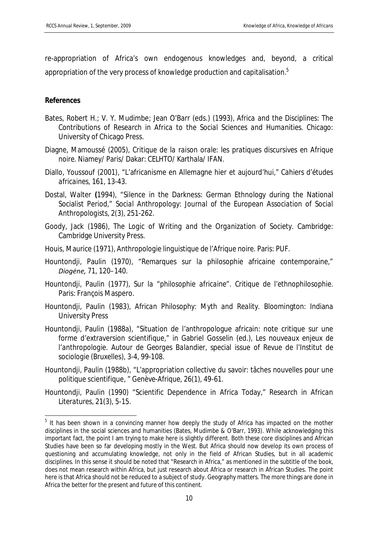re-appropriation of Africa's own endogenous knowledges and, beyond, a critical appropriation of the very process of knowledge production and capitalisation.<sup>5</sup>

## **References**

- Bates, Robert H.; V. Y. Mudimbe; Jean O'Barr (eds.) (1993), *Africa and the Disciplines: The Contributions of Research in Africa to the Social Sciences and Humanities*. Chicago: University of Chicago Press.
- Diagne, Mamoussé (2005), *Critique de la raison orale: les pratiques discursives en Afrique noire*. Niamey/ Paris/ Dakar: CELHTO/ Karthala/ IFAN.
- Diallo, Youssouf (2001), "L'africanisme en Allemagne hier et aujourd'hui," *Cahiers d'études africaines*, 161, 13-43.
- Dostal, Walter **(**1994), "Silence in the Darkness: German Ethnology during the National Socialist Period," *Social Anthropology: Journal of the European Association of Social Anthropologists,* 2(3), 251-262.
- Goody, Jack (1986), *The Logic of Writing and the Organization of Society.* Cambridge: Cambridge University Press.
- Houis, Maurice (1971), *Anthropologie linguistique de l'Afrique noire*. Paris: PUF.
- Hountondji, Paulin (1970), "Remarques sur la philosophie africaine contemporaine," *Diogėne,* 71, 120–140.
- Hountondji, Paulin (1977), *Sur la* "*philosophie africaine*". *Critique de l'ethnophilosophie.*  Paris: François Maspero.
- Hountondji, Paulin (1983), *African Philosophy: Myth and Reality*. Bloomington: Indiana University Press
- Hountondji, Paulin (1988a), "Situation de l'anthropologue africain: note critique sur une forme d'extraversion scientifique," *in* Gabriel Gosselin (ed.), *Les nouveaux enjeux de l'anthropologie. Autour de Georges Balandier,* special issue of *Revue de l'Institut de sociologie* (Bruxelles), 3-4, 99-108.
- Hountondji, Paulin (1988b), "L'appropriation collective du savoir: tâches nouvelles pour une politique scientifique, " *Genève-Afrique,* 26(1), 49-61.
- Hountondji, Paulin (1990) "Scientific Dependence in Africa Today," *Research in African Literatures,* 21(3), 5-15.

<sup>&</sup>lt;sup>5</sup> It has been shown in a convincing manner how deeply the study of Africa has impacted on the mother disciplines in the social sciences and humanities (Bates, Mudimbe & O'Barr, 1993). While acknowledging this important fact, the point I am trying to make here is slightly different. Both these core disciplines and African Studies have been so far developing mostly in the West. But Africa should now develop its own process of questioning and accumulating knowledge, not only in the field of African Studies, but in all academic disciplines. In this sense it should be noted that "Research in Africa," as mentioned in the subtitle of the book, does not mean research *within* Africa, but just research *about* Africa or research in African Studies. The point here is that Africa should not be reduced to a subject of study. Geography matters. The more things are done in Africa the better for the present and future of this continent.